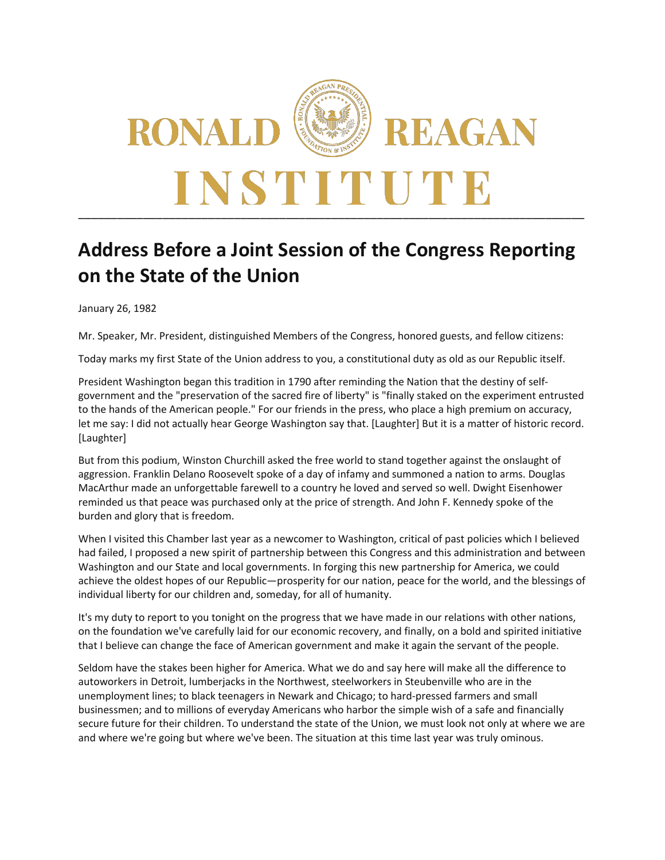

## **Address Before a Joint Session of the Congress Reporting on the State of the Union**

January 26, 1982

Mr. Speaker, Mr. President, distinguished Members of the Congress, honored guests, and fellow citizens:

Today marks my first State of the Union address to you, a constitutional duty as old as our Republic itself.

President Washington began this tradition in 1790 after reminding the Nation that the destiny of selfgovernment and the "preservation of the sacred fire of liberty" is "finally staked on the experiment entrusted to the hands of the American people." For our friends in the press, who place a high premium on accuracy, let me say: I did not actually hear George Washington say that. [Laughter] But it is a matter of historic record. [Laughter]

But from this podium, Winston Churchill asked the free world to stand together against the onslaught of aggression. Franklin Delano Roosevelt spoke of a day of infamy and summoned a nation to arms. Douglas MacArthur made an unforgettable farewell to a country he loved and served so well. Dwight Eisenhower reminded us that peace was purchased only at the price of strength. And John F. Kennedy spoke of the burden and glory that is freedom.

When I visited this Chamber last year as a newcomer to Washington, critical of past policies which I believed had failed, I proposed a new spirit of partnership between this Congress and this administration and between Washington and our State and local governments. In forging this new partnership for America, we could achieve the oldest hopes of our Republic—prosperity for our nation, peace for the world, and the blessings of individual liberty for our children and, someday, for all of humanity.

It's my duty to report to you tonight on the progress that we have made in our relations with other nations, on the foundation we've carefully laid for our economic recovery, and finally, on a bold and spirited initiative that I believe can change the face of American government and make it again the servant of the people.

Seldom have the stakes been higher for America. What we do and say here will make all the difference to autoworkers in Detroit, lumberjacks in the Northwest, steelworkers in Steubenville who are in the unemployment lines; to black teenagers in Newark and Chicago; to hard-pressed farmers and small businessmen; and to millions of everyday Americans who harbor the simple wish of a safe and financially secure future for their children. To understand the state of the Union, we must look not only at where we are and where we're going but where we've been. The situation at this time last year was truly ominous.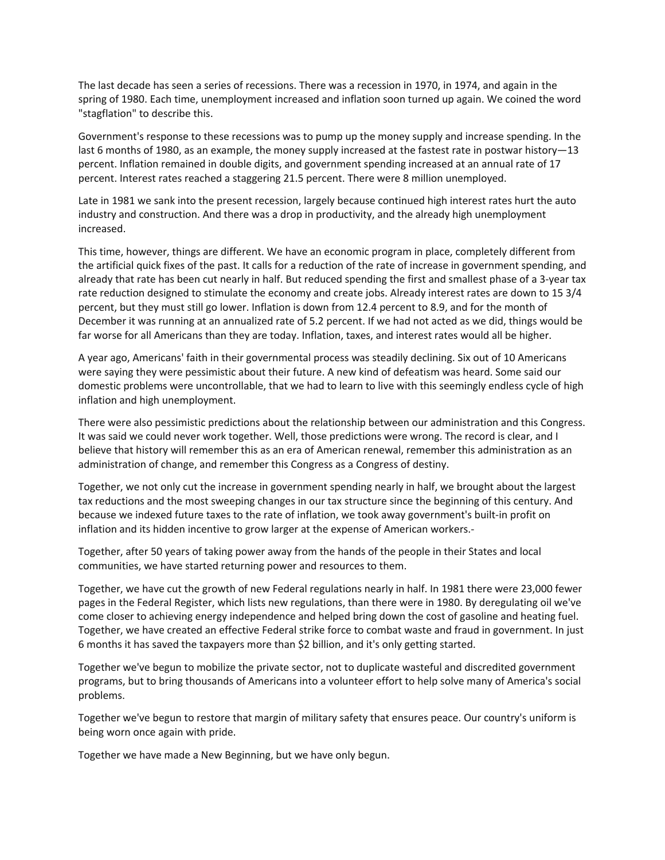The last decade has seen a series of recessions. There was a recession in 1970, in 1974, and again in the spring of 1980. Each time, unemployment increased and inflation soon turned up again. We coined the word "stagflation" to describe this.

Government's response to these recessions was to pump up the money supply and increase spending. In the last 6 months of 1980, as an example, the money supply increased at the fastest rate in postwar history—13 percent. Inflation remained in double digits, and government spending increased at an annual rate of 17 percent. Interest rates reached a staggering 21.5 percent. There were 8 million unemployed.

Late in 1981 we sank into the present recession, largely because continued high interest rates hurt the auto industry and construction. And there was a drop in productivity, and the already high unemployment increased.

This time, however, things are different. We have an economic program in place, completely different from the artificial quick fixes of the past. It calls for a reduction of the rate of increase in government spending, and already that rate has been cut nearly in half. But reduced spending the first and smallest phase of a 3-year tax rate reduction designed to stimulate the economy and create jobs. Already interest rates are down to 15 3/4 percent, but they must still go lower. Inflation is down from 12.4 percent to 8.9, and for the month of December it was running at an annualized rate of 5.2 percent. If we had not acted as we did, things would be far worse for all Americans than they are today. Inflation, taxes, and interest rates would all be higher.

A year ago, Americans' faith in their governmental process was steadily declining. Six out of 10 Americans were saying they were pessimistic about their future. A new kind of defeatism was heard. Some said our domestic problems were uncontrollable, that we had to learn to live with this seemingly endless cycle of high inflation and high unemployment.

There were also pessimistic predictions about the relationship between our administration and this Congress. It was said we could never work together. Well, those predictions were wrong. The record is clear, and I believe that history will remember this as an era of American renewal, remember this administration as an administration of change, and remember this Congress as a Congress of destiny.

Together, we not only cut the increase in government spending nearly in half, we brought about the largest tax reductions and the most sweeping changes in our tax structure since the beginning of this century. And because we indexed future taxes to the rate of inflation, we took away government's built-in profit on inflation and its hidden incentive to grow larger at the expense of American workers.-

Together, after 50 years of taking power away from the hands of the people in their States and local communities, we have started returning power and resources to them.

Together, we have cut the growth of new Federal regulations nearly in half. In 1981 there were 23,000 fewer pages in the Federal Register, which lists new regulations, than there were in 1980. By deregulating oil we've come closer to achieving energy independence and helped bring down the cost of gasoline and heating fuel. Together, we have created an effective Federal strike force to combat waste and fraud in government. In just 6 months it has saved the taxpayers more than \$2 billion, and it's only getting started.

Together we've begun to mobilize the private sector, not to duplicate wasteful and discredited government programs, but to bring thousands of Americans into a volunteer effort to help solve many of America's social problems.

Together we've begun to restore that margin of military safety that ensures peace. Our country's uniform is being worn once again with pride.

Together we have made a New Beginning, but we have only begun.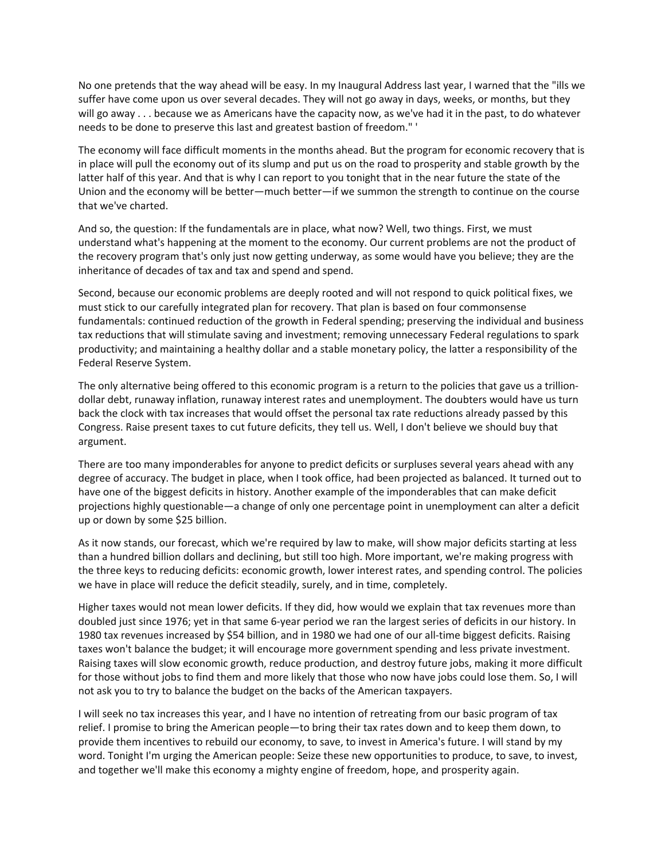No one pretends that the way ahead will be easy. In my Inaugural Address last year, I warned that the "ills we suffer have come upon us over several decades. They will not go away in days, weeks, or months, but they will go away . . . because we as Americans have the capacity now, as we've had it in the past, to do whatever needs to be done to preserve this last and greatest bastion of freedom." '

The economy will face difficult moments in the months ahead. But the program for economic recovery that is in place will pull the economy out of its slump and put us on the road to prosperity and stable growth by the latter half of this year. And that is why I can report to you tonight that in the near future the state of the Union and the economy will be better—much better—if we summon the strength to continue on the course that we've charted.

And so, the question: If the fundamentals are in place, what now? Well, two things. First, we must understand what's happening at the moment to the economy. Our current problems are not the product of the recovery program that's only just now getting underway, as some would have you believe; they are the inheritance of decades of tax and tax and spend and spend.

Second, because our economic problems are deeply rooted and will not respond to quick political fixes, we must stick to our carefully integrated plan for recovery. That plan is based on four commonsense fundamentals: continued reduction of the growth in Federal spending; preserving the individual and business tax reductions that will stimulate saving and investment; removing unnecessary Federal regulations to spark productivity; and maintaining a healthy dollar and a stable monetary policy, the latter a responsibility of the Federal Reserve System.

The only alternative being offered to this economic program is a return to the policies that gave us a trilliondollar debt, runaway inflation, runaway interest rates and unemployment. The doubters would have us turn back the clock with tax increases that would offset the personal tax rate reductions already passed by this Congress. Raise present taxes to cut future deficits, they tell us. Well, I don't believe we should buy that argument.

There are too many imponderables for anyone to predict deficits or surpluses several years ahead with any degree of accuracy. The budget in place, when I took office, had been projected as balanced. It turned out to have one of the biggest deficits in history. Another example of the imponderables that can make deficit projections highly questionable—a change of only one percentage point in unemployment can alter a deficit up or down by some \$25 billion.

As it now stands, our forecast, which we're required by law to make, will show major deficits starting at less than a hundred billion dollars and declining, but still too high. More important, we're making progress with the three keys to reducing deficits: economic growth, lower interest rates, and spending control. The policies we have in place will reduce the deficit steadily, surely, and in time, completely.

Higher taxes would not mean lower deficits. If they did, how would we explain that tax revenues more than doubled just since 1976; yet in that same 6-year period we ran the largest series of deficits in our history. In 1980 tax revenues increased by \$54 billion, and in 1980 we had one of our all-time biggest deficits. Raising taxes won't balance the budget; it will encourage more government spending and less private investment. Raising taxes will slow economic growth, reduce production, and destroy future jobs, making it more difficult for those without jobs to find them and more likely that those who now have jobs could lose them. So, I will not ask you to try to balance the budget on the backs of the American taxpayers.

I will seek no tax increases this year, and I have no intention of retreating from our basic program of tax relief. I promise to bring the American people—to bring their tax rates down and to keep them down, to provide them incentives to rebuild our economy, to save, to invest in America's future. I will stand by my word. Tonight I'm urging the American people: Seize these new opportunities to produce, to save, to invest, and together we'll make this economy a mighty engine of freedom, hope, and prosperity again.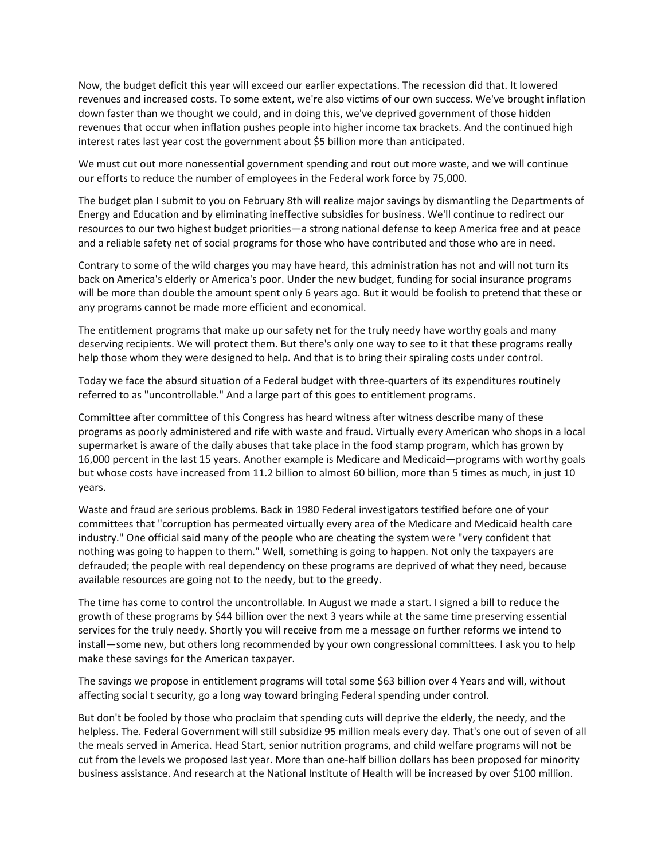Now, the budget deficit this year will exceed our earlier expectations. The recession did that. It lowered revenues and increased costs. To some extent, we're also victims of our own success. We've brought inflation down faster than we thought we could, and in doing this, we've deprived government of those hidden revenues that occur when inflation pushes people into higher income tax brackets. And the continued high interest rates last year cost the government about \$5 billion more than anticipated.

We must cut out more nonessential government spending and rout out more waste, and we will continue our efforts to reduce the number of employees in the Federal work force by 75,000.

The budget plan I submit to you on February 8th will realize major savings by dismantling the Departments of Energy and Education and by eliminating ineffective subsidies for business. We'll continue to redirect our resources to our two highest budget priorities—a strong national defense to keep America free and at peace and a reliable safety net of social programs for those who have contributed and those who are in need.

Contrary to some of the wild charges you may have heard, this administration has not and will not turn its back on America's elderly or America's poor. Under the new budget, funding for social insurance programs will be more than double the amount spent only 6 years ago. But it would be foolish to pretend that these or any programs cannot be made more efficient and economical.

The entitlement programs that make up our safety net for the truly needy have worthy goals and many deserving recipients. We will protect them. But there's only one way to see to it that these programs really help those whom they were designed to help. And that is to bring their spiraling costs under control.

Today we face the absurd situation of a Federal budget with three-quarters of its expenditures routinely referred to as "uncontrollable." And a large part of this goes to entitlement programs.

Committee after committee of this Congress has heard witness after witness describe many of these programs as poorly administered and rife with waste and fraud. Virtually every American who shops in a local supermarket is aware of the daily abuses that take place in the food stamp program, which has grown by 16,000 percent in the last 15 years. Another example is Medicare and Medicaid—programs with worthy goals but whose costs have increased from 11.2 billion to almost 60 billion, more than 5 times as much, in just 10 years.

Waste and fraud are serious problems. Back in 1980 Federal investigators testified before one of your committees that "corruption has permeated virtually every area of the Medicare and Medicaid health care industry." One official said many of the people who are cheating the system were "very confident that nothing was going to happen to them." Well, something is going to happen. Not only the taxpayers are defrauded; the people with real dependency on these programs are deprived of what they need, because available resources are going not to the needy, but to the greedy.

The time has come to control the uncontrollable. In August we made a start. I signed a bill to reduce the growth of these programs by \$44 billion over the next 3 years while at the same time preserving essential services for the truly needy. Shortly you will receive from me a message on further reforms we intend to install—some new, but others long recommended by your own congressional committees. I ask you to help make these savings for the American taxpayer.

The savings we propose in entitlement programs will total some \$63 billion over 4 Years and will, without affecting social t security, go a long way toward bringing Federal spending under control.

But don't be fooled by those who proclaim that spending cuts will deprive the elderly, the needy, and the helpless. The. Federal Government will still subsidize 95 million meals every day. That's one out of seven of all the meals served in America. Head Start, senior nutrition programs, and child welfare programs will not be cut from the levels we proposed last year. More than one-half billion dollars has been proposed for minority business assistance. And research at the National Institute of Health will be increased by over \$100 million.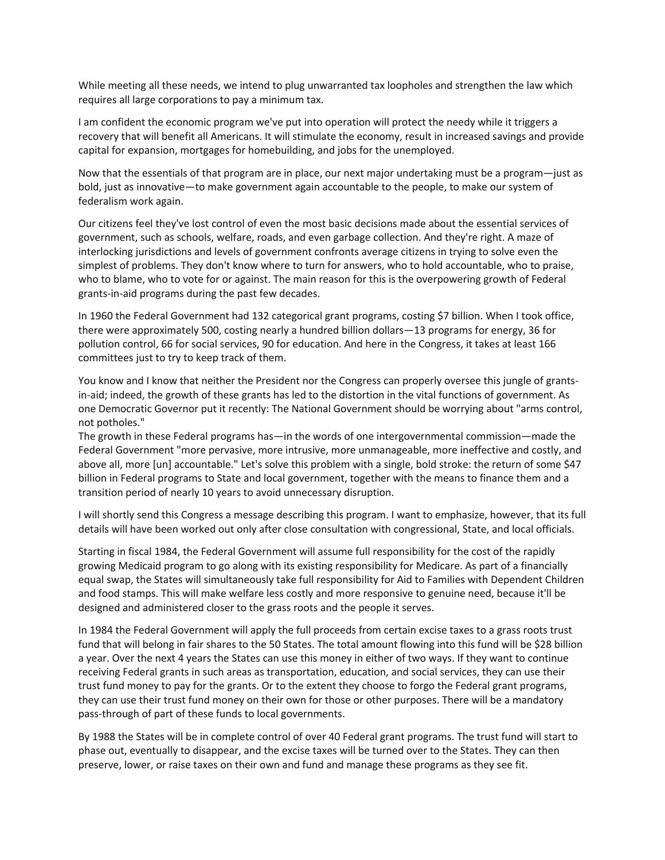While meeting all these needs, we intend to plug unwarranted tax loopholes and strengthen the law which requires all large corporations to pay a minimum tax.

I am confident the economic program we've put into operation will protect the needy while it triggers a recovery that will benefit all Americans. It will stimulate the economy, result in increased savings and provide capital for expansion, mortgages for homebuilding, and jobs for the unemployed.

Now that the essentials of that program are in place, our next major undertaking must be a program—just as bold, just as innovative—to make government again accountable to the people, to make our system of federalism work again.

Our citizens feel they've lost control of even the most basic decisions made about the essential services of government, such as schools, welfare, roads, and even garbage collection. And they're right. A maze of interlocking jurisdictions and levels of government confronts average citizens in trying to solve even the simplest of problems. They don't know where to turn for answers, who to hold accountable, who to praise, who to blame, who to vote for or against. The main reason for this is the overpowering growth of Federal grants-in-aid programs during the past few decades.

In 1960 the Federal Government had 132 categorical grant programs, costing \$7 billion. When I took office, there were approximately 500, costing nearly a hundred billion dollars—13 programs for energy, 36 for pollution control, 66 for social services, 90 for education. And here in the Congress, it takes at least 166 committees just to try to keep track of them.

You know and I know that neither the President nor the Congress can properly oversee this jungle of grantsin-aid; indeed, the growth of these grants has led to the distortion in the vital functions of government. As one Democratic Governor put it recently: The National Government should be worrying about "arms control, not potholes."

The growth in these Federal programs has—in the words of one intergovernmental commission—made the Federal Government "more pervasive, more intrusive, more unmanageable, more ineffective and costly, and above all, more [un] accountable." Let's solve this problem with a single, bold stroke: the return of some \$47 billion in Federal programs to State and local government, together with the means to finance them and a transition period of nearly 10 years to avoid unnecessary disruption.

I will shortly send this Congress a message describing this program. I want to emphasize, however, that its full details will have been worked out only after close consultation with congressional, State, and local officials.

Starting in fiscal 1984, the Federal Government will assume full responsibility for the cost of the rapidly growing Medicaid program to go along with its existing responsibility for Medicare. As part of a financially equal swap, the States will simultaneously take full responsibility for Aid to Families with Dependent Children and food stamps. This will make welfare less costly and more responsive to genuine need, because it'll be designed and administered closer to the grass roots and the people it serves.

In 1984 the Federal Government will apply the full proceeds from certain excise taxes to a grass roots trust fund that will belong in fair shares to the 50 States. The total amount flowing into this fund will be \$28 billion a year. Over the next 4 years the States can use this money in either of two ways. If they want to continue receiving Federal grants in such areas as transportation, education, and social services, they can use their trust fund money to pay for the grants. Or to the extent they choose to forgo the Federal grant programs, they can use their trust fund money on their own for those or other purposes. There will be a mandatory pass-through of part of these funds to local governments.

By 1988 the States will be in complete control of over 40 Federal grant programs. The trust fund will start to phase out, eventually to disappear, and the excise taxes will be turned over to the States. They can then preserve, lower, or raise taxes on their own and fund and manage these programs as they see fit.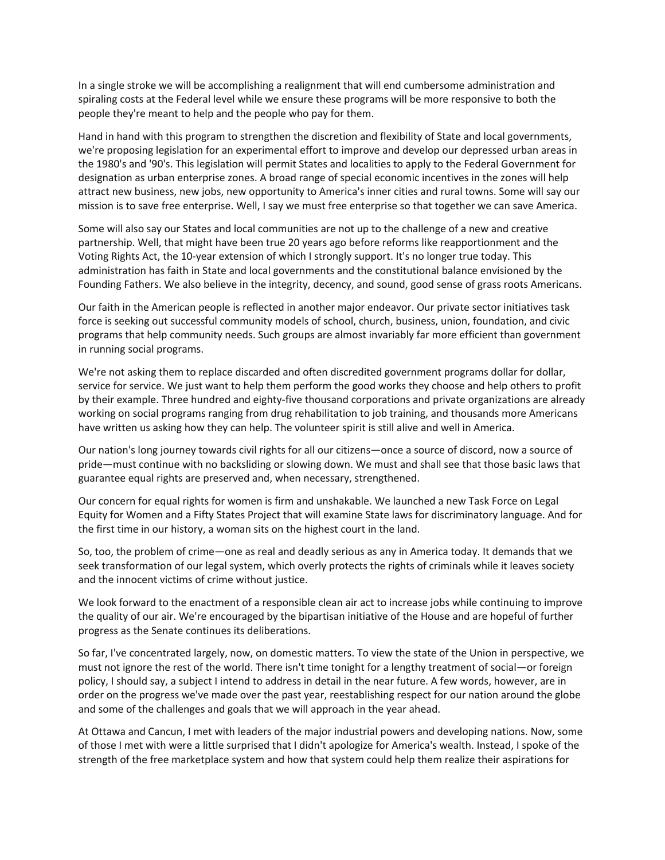In a single stroke we will be accomplishing a realignment that will end cumbersome administration and spiraling costs at the Federal level while we ensure these programs will be more responsive to both the people they're meant to help and the people who pay for them.

Hand in hand with this program to strengthen the discretion and flexibility of State and local governments, we're proposing legislation for an experimental effort to improve and develop our depressed urban areas in the 1980's and '90's. This legislation will permit States and localities to apply to the Federal Government for designation as urban enterprise zones. A broad range of special economic incentives in the zones will help attract new business, new jobs, new opportunity to America's inner cities and rural towns. Some will say our mission is to save free enterprise. Well, I say we must free enterprise so that together we can save America.

Some will also say our States and local communities are not up to the challenge of a new and creative partnership. Well, that might have been true 20 years ago before reforms like reapportionment and the Voting Rights Act, the 10-year extension of which I strongly support. It's no longer true today. This administration has faith in State and local governments and the constitutional balance envisioned by the Founding Fathers. We also believe in the integrity, decency, and sound, good sense of grass roots Americans.

Our faith in the American people is reflected in another major endeavor. Our private sector initiatives task force is seeking out successful community models of school, church, business, union, foundation, and civic programs that help community needs. Such groups are almost invariably far more efficient than government in running social programs.

We're not asking them to replace discarded and often discredited government programs dollar for dollar, service for service. We just want to help them perform the good works they choose and help others to profit by their example. Three hundred and eighty-five thousand corporations and private organizations are already working on social programs ranging from drug rehabilitation to job training, and thousands more Americans have written us asking how they can help. The volunteer spirit is still alive and well in America.

Our nation's long journey towards civil rights for all our citizens—once a source of discord, now a source of pride—must continue with no backsliding or slowing down. We must and shall see that those basic laws that guarantee equal rights are preserved and, when necessary, strengthened.

Our concern for equal rights for women is firm and unshakable. We launched a new Task Force on Legal Equity for Women and a Fifty States Project that will examine State laws for discriminatory language. And for the first time in our history, a woman sits on the highest court in the land.

So, too, the problem of crime—one as real and deadly serious as any in America today. It demands that we seek transformation of our legal system, which overly protects the rights of criminals while it leaves society and the innocent victims of crime without justice.

We look forward to the enactment of a responsible clean air act to increase jobs while continuing to improve the quality of our air. We're encouraged by the bipartisan initiative of the House and are hopeful of further progress as the Senate continues its deliberations.

So far, I've concentrated largely, now, on domestic matters. To view the state of the Union in perspective, we must not ignore the rest of the world. There isn't time tonight for a lengthy treatment of social—or foreign policy, I should say, a subject I intend to address in detail in the near future. A few words, however, are in order on the progress we've made over the past year, reestablishing respect for our nation around the globe and some of the challenges and goals that we will approach in the year ahead.

At Ottawa and Cancun, I met with leaders of the major industrial powers and developing nations. Now, some of those I met with were a little surprised that I didn't apologize for America's wealth. Instead, I spoke of the strength of the free marketplace system and how that system could help them realize their aspirations for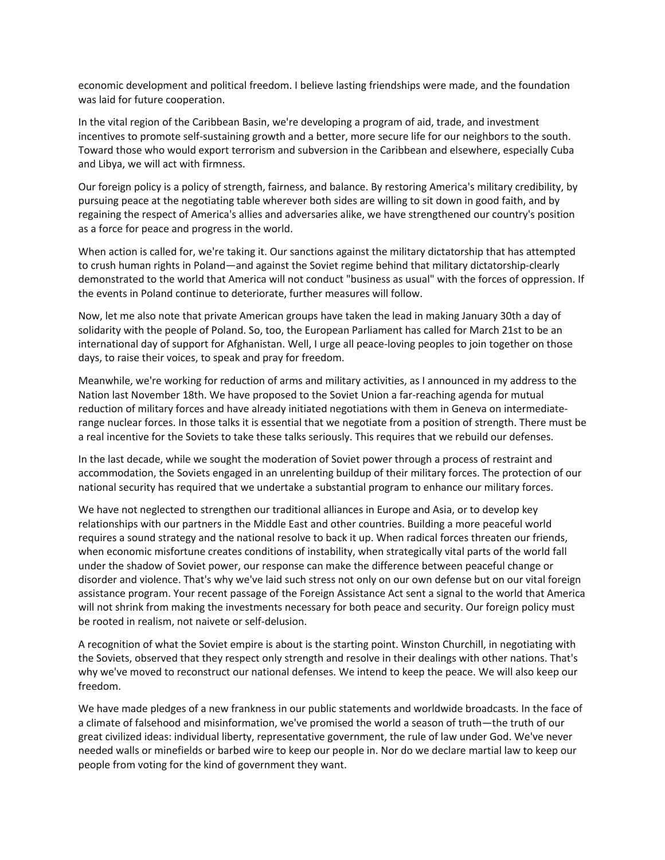economic development and political freedom. I believe lasting friendships were made, and the foundation was laid for future cooperation.

In the vital region of the Caribbean Basin, we're developing a program of aid, trade, and investment incentives to promote self-sustaining growth and a better, more secure life for our neighbors to the south. Toward those who would export terrorism and subversion in the Caribbean and elsewhere, especially Cuba and Libya, we will act with firmness.

Our foreign policy is a policy of strength, fairness, and balance. By restoring America's military credibility, by pursuing peace at the negotiating table wherever both sides are willing to sit down in good faith, and by regaining the respect of America's allies and adversaries alike, we have strengthened our country's position as a force for peace and progress in the world.

When action is called for, we're taking it. Our sanctions against the military dictatorship that has attempted to crush human rights in Poland—and against the Soviet regime behind that military dictatorship-clearly demonstrated to the world that America will not conduct "business as usual" with the forces of oppression. If the events in Poland continue to deteriorate, further measures will follow.

Now, let me also note that private American groups have taken the lead in making January 30th a day of solidarity with the people of Poland. So, too, the European Parliament has called for March 21st to be an international day of support for Afghanistan. Well, I urge all peace-loving peoples to join together on those days, to raise their voices, to speak and pray for freedom.

Meanwhile, we're working for reduction of arms and military activities, as I announced in my address to the Nation last November 18th. We have proposed to the Soviet Union a far-reaching agenda for mutual reduction of military forces and have already initiated negotiations with them in Geneva on intermediaterange nuclear forces. In those talks it is essential that we negotiate from a position of strength. There must be a real incentive for the Soviets to take these talks seriously. This requires that we rebuild our defenses.

In the last decade, while we sought the moderation of Soviet power through a process of restraint and accommodation, the Soviets engaged in an unrelenting buildup of their military forces. The protection of our national security has required that we undertake a substantial program to enhance our military forces.

We have not neglected to strengthen our traditional alliances in Europe and Asia, or to develop key relationships with our partners in the Middle East and other countries. Building a more peaceful world requires a sound strategy and the national resolve to back it up. When radical forces threaten our friends, when economic misfortune creates conditions of instability, when strategically vital parts of the world fall under the shadow of Soviet power, our response can make the difference between peaceful change or disorder and violence. That's why we've laid such stress not only on our own defense but on our vital foreign assistance program. Your recent passage of the Foreign Assistance Act sent a signal to the world that America will not shrink from making the investments necessary for both peace and security. Our foreign policy must be rooted in realism, not naivete or self-delusion.

A recognition of what the Soviet empire is about is the starting point. Winston Churchill, in negotiating with the Soviets, observed that they respect only strength and resolve in their dealings with other nations. That's why we've moved to reconstruct our national defenses. We intend to keep the peace. We will also keep our freedom.

We have made pledges of a new frankness in our public statements and worldwide broadcasts. In the face of a climate of falsehood and misinformation, we've promised the world a season of truth—the truth of our great civilized ideas: individual liberty, representative government, the rule of law under God. We've never needed walls or minefields or barbed wire to keep our people in. Nor do we declare martial law to keep our people from voting for the kind of government they want.